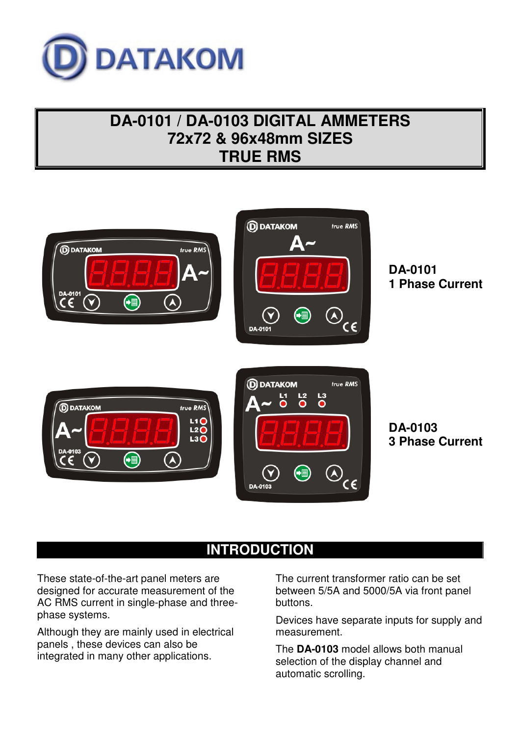

# **DA-0101 / DA-0103 DIGITAL AMMETERS 72x72 & 96x48mm SIZES TRUE RMS**



## **INTRODUCTION**

These state-of-the-art panel meters are designed for accurate measurement of the AC RMS current in single-phase and threephase systems.

Although they are mainly used in electrical panels , these devices can also be integrated in many other applications.

The current transformer ratio can be set between 5/5A and 5000/5A via front panel buttons.

Devices have separate inputs for supply and measurement.

The **DA-0103** model allows both manual selection of the display channel and automatic scrolling.